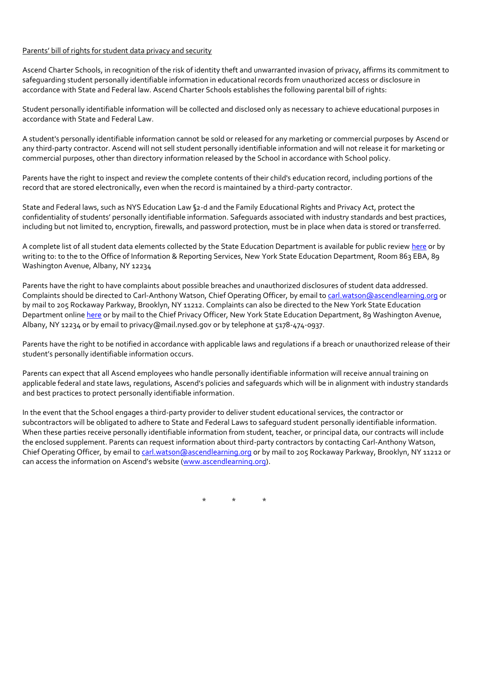## Parents' bill of rights for student data privacy and security

Ascend Charter Schools, in recognition of the risk of identity theft and unwarranted invasion of privacy, affirms its commitment to safeguarding student personally identifiable information in educational records from unauthorized access or disclosure in accordance with State and Federal law. Ascend Charter Schools establishes the following parental bill of rights:

Student personally identifiable information will be collected and disclosed only as necessary to achieve educational purposes in accordance with State and Federal Law.

A student's personally identifiable information cannot be sold or released for any marketing or commercial purposes by Ascend or any third-party contractor. Ascend will not sell student personally identifiable information and will not release it for marketing or commercial purposes, other than directory information released by the School in accordance with School policy.

Parents have the right to inspect and review the complete contents of their child's education record, including portions of the record that are stored electronically, even when the record is maintained by a third-party contractor.

State and Federal laws, such as NYS Education Law §2-d and the Family Educational Rights and Privacy Act, protect the confidentiality of students' personally identifiable information. Safeguards associated with industry standards and best practices, including but not limited to, encryption, firewalls, and password protection, must be in place when data is stored or transferred.

A complete list of all student data elements collected by the State Education Department is available for public revie[w here](http://www.nysed.gov/data-privacy-security/student-data-inventory) or by writing to: to the to the Office of Information & Reporting Services, New York State Education Department, Room 863 EBA, 89 Washington Avenue, Albany, NY 12234

Parents have the right to have complaints about possible breaches and unauthorized disclosures of student data addressed. Complaints should be directed to Carl-Anthony Watson, Chief Operating Officer, by email to [carl.watson@ascendlearning.org](mailto:carl.watson@ascendlearning.org) or by mail to 205 Rockaway Parkway, Brooklyn, NY 11212. Complaints can also be directed to the New York State Education Department onlin[e here](http://www.nysed.gov/data-privacy-security/report-improper-disclosure) or by mail to the Chief Privacy Officer, New York State Education Department, 89 Washington Avenue, Albany, NY 12234 or by email to privacy@mail.nysed.gov or by telephone at 5178-474-0937.

Parents have the right to be notified in accordance with applicable laws and regulations if a breach or unauthorized release of their student's personally identifiable information occurs.

Parents can expect that all Ascend employees who handle personally identifiable information will receive annual training on applicable federal and state laws, regulations, Ascend's policies and safeguards which will be in alignment with industry standards and best practices to protect personally identifiable information.

In the event that the School engages a third-party provider to deliver student educational services, the contractor or subcontractors will be obligated to adhere to State and Federal Laws to safeguard student personally identifiable information. When these parties receive personally identifiable information from student, teacher, or principal data, our contracts will include the enclosed supplement. Parents can request information about third-party contractors by contacting Carl-Anthony Watson, Chief Operating Officer, by email to [carl.watson@ascendlearning.org](mailto:carl.watson@ascendlearning.org) or by mail to 205 Rockaway Parkway, Brooklyn, NY 11212 or can access the information on Ascend's website [\(www.ascendlearning.org\)](http://www.ascendlearning.org/).

 $\star$  \*